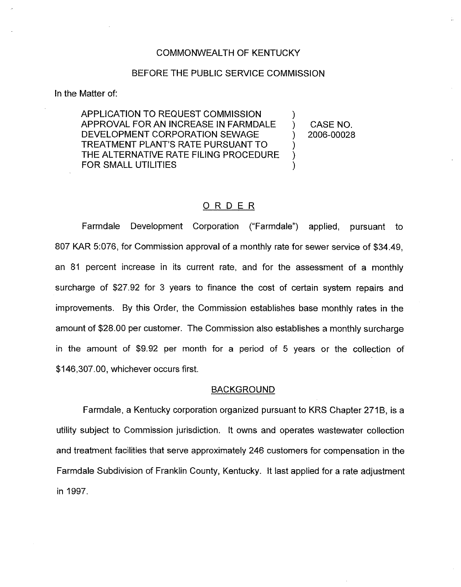## COMMONWEALTH OF KENTUCKY

# BEFORE THE PUBLIC SERVICE COMMISSION

In the Matter of:

APPLICATION TO REQUEST COMMISSION APPROVAL FOR AN INCREASE IN FARMDALE DEVELOPMENT CORPORATION SEWAGE TREATMENT PLANT'S RATE PURSUANT TO THE ALTERNATIVE RATE FILING PROCEDURE FOR SMALL UTILITIES

) CASE NO.<br>) 2006-00028 ) 2006-00028

 $\left\{ \right\}$ 

) ) )

# ORDER

Farmdale Development Corporation ("Farmdale") applied, pursuant to 807 KAR 5:076, for Commission approval of a monthly rate for sewer service of \$34.49, an 81 percent increase in its current rate, and for the assessment of a monthly surcharge of \$27.92 for 3 years to finance the cost of certain system repairs and improvements. By this Order, the Commission establishes base monthly rates in the amount of \$28.00 per customer. The Commission also establishes a monthly surcharge in the amount of \$9,92 per month for a period of 5 years or the collection of \$146,307.00, whichever occurs first.

#### BACKGROUND

Farmdale, a Kentucky corporation organized pursuant to KRS Chapter 271B, is a utility subject to Commission jurisdiction. It owns and operates wastewater collection and treatment facilities that serve approximately 246 customers for compensation in the Farmdale Subdivision of Franklin County, Kentucky. It last applied for a rate adjustment in 1997.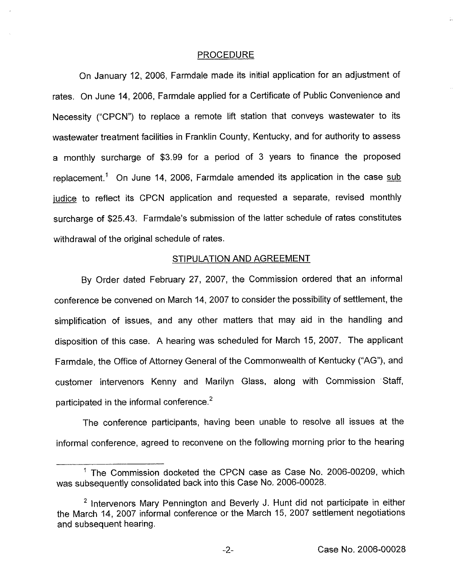### PROCEDURE

On January 12, 2006, Farmdale made its initial application for an adjustment of rates. On June 14, 2006, Farmdale applied for a Certificate of Public Convenience and Necessity ("CPCN") to replace a remote lift station that conveys wastewater to its wastewater treatment facilities in Franklin County, Kentucky, and for authority to assess a monthly surcharge of \$3.99 for a period of 3 years to finance the proposed replacement.<sup>1</sup> On June 14, 2006, Farmdale amended its application in the case sub judice to reflect its CPCN application and requested a separate, revised monthly surcharge of \$25.43. Farmdale's submission of the latter schedule of rates constitutes withdrawal of the original schedule of rates.

## STIPULATION AND AGREEMENT

By Order dated February 27, 2007, the Commission ordered that an informal conference be convened on March 14, 2007 to consider the possibility of settlement, the simplification of issues, and any other matters that may aid in the handling and disposition of this case. A hearing was scheduled for March 15, 2007. The applicant Farmdale, the Office of Attorney General of the Commonwealth of Kentucky ("AG"), and customer intervenors Kenny and Marilyn Glass, along with Commission Staff, participated in the informal conference.<sup>2</sup>

The conference participants, having been unable to resolve all issues at the informal conference, agreed to reconvene on the following morning prior to the hearing

<sup>&</sup>lt;sup>1</sup> The Commission docketed the CPCN case as Case No. 2006-00209, which was subsequently consolidated back into this Case No. 2006-00028.

 $2$  Intervenors Mary Pennington and Beverly J. Hunt did not participate in either the March 14, 2007 informal conference or the March 15, 2007 settlement negotiations and subsequent hearing.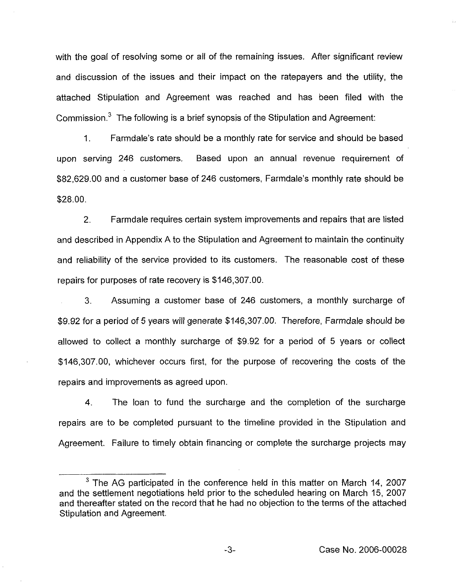with the goal of resolving some or ail of the remaining issues. After significant review and discussion of the issues and their impact on the ratepayers and the utility, the attached Stipulation and Agreement was reached and has been filed with the Commission. $3$  The following is a brief synopsis of the Stipulation and Agreement;

1. Farmdale's rate should be a monthly rate for service and should be based upon serving 246 customers. Based upon an annual revenue requirement of \$82,629.00 and a customer base of 246 customers, Farmdale's monthly rate should be \$28.00.

2. Farmdale requires certain system improvements and repairs that are listed and described in Appendix A to the Stipulation and Agreement to maintain the continuity and reliability of the service provided to its customers. The reasonable cost of these repairs for purposes of rate recovery is \$146,307.00.

3. Assuming a customer base of 246 customers, a monthly surcharge of \$9.92for a period of 5 years will generate \$ 146,307.00. Therefore, Farmdale should be allowed to collect a monthly surcharge of \$9.92 for a period of 5 years or collect \$146,307.00, whichever occurs first, for the purpose of recovering the costs of the repairs and improvements as agreed upon.

4. The loan to fund the surcharge and the completion of the surcharge repairs are to be completed pursuant to the timeline provided in the Stipulation and Agreement. Failure to timely obtain financing or complete the surcharge projects may

 $3$  The AG participated in the conference held in this matter on March 14, 2007 and the settlement negotiations held prior to the scheduled hearing on March 15, 2007 and thereafter stated on the record that he had no objection to the terms of the attached Stipulation and Agreement.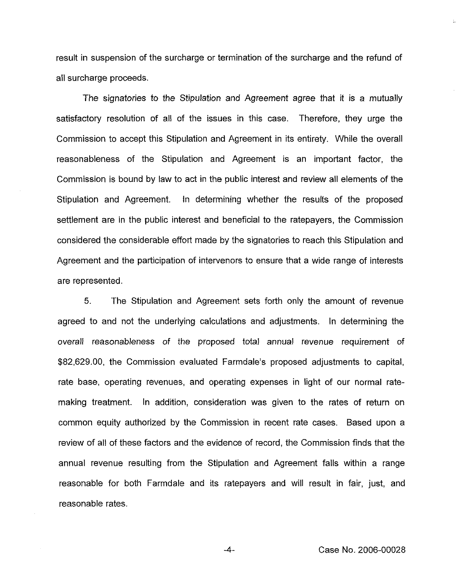result in suspension of the surcharge or termination of the surcharge and the refund of all surcharge proceeds.

The signatories to the Stipulation and Agreement agree that it is a mutually satisfactory resolution of all of the issues in this case. Therefore, they urge the Commission to accept this Stipulation and Agreement in its entirety. While the overall reasonableness of the Stipulation and Agreement is an important factor, the Commission is bound by law to act in the public interest and review all elements of the Stipulation and Agreement. In determining whether the results of the proposed settlement are in the public interest and beneficial to the ratepayers, the Commission considered the considerable effort made by the signatories to reach this Stipulation and Agreement and the participation of intervenors to ensure that a wide range of interests are represented.

5. The Stipulation and Agreement sets forth only the amount of revenue agreed to and not the underlying caiculations and adjustments. In determining the overall reasonableness of the proposed total annual revenue requirement of \$82,629.00, the Commission evaluated Farrndale's proposed adjustments to capital, rate base, operating revenues, and operating expenses in light of our normal ratemaking treatment. In addition, consideration was given to the rates of return on common equity authorized by the Commission in recent rate cases. Based upon a review of all of these factors and the evidence of record, the Commission finds that the annual revenue resulting from the Stipulation and Agreement falls within a range reasonable for both Farmdale and its ratepayers and will result in fair, just, and reasonable rates.

Case No. 2006-00028

 $-4-$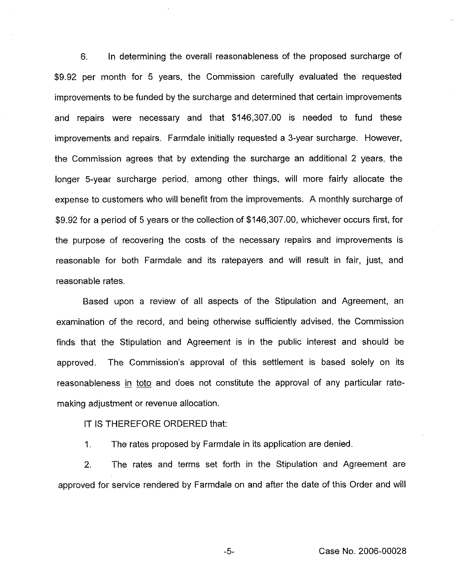6. In determining the overall reasonableness of the proposed surcharge of \$9.92 per month for 5 years, the Commission carefully evaluated the requested improvements to be funded by the surcharge and determined that certain improvements and repairs were necessary and that \$146,307.00 is needed to fund these improvements and repairs. Farmdale initially requested a 3-year surcharge. However, the Commission agrees that by extending the surcharge an additional 2 years, the longer 5-year surcharge period, among other things, will more fairly allocate the expense to customers who will benefit from the improvements. A monthly surcharge of \$9.92 for a period of 5 years or the collection of \$146,307.00, whichever occurs first, for the purpose of recovering the costs of the necessary repairs and improvements is reasonable for both Farmdale and its ratepayers and will result in fair, just, and reasonable rates.

Based upon a review of all aspects of the Stipulation and Agreement, an examination of the record, and being otherwise sufficiently advised, the Commission finds that the Stipulation and Agreement is in the public interest and should be approved. The Commission's approval of this settlement is based solely on its reasonableness in toto and does not constitute the approval of any particular ratemaking adjustment or revenue allocation.

IT IS THEREFORE ORDERED that:

1. The rates proposed by Farmdale in its application are denied.

2. The rates and terms set forth in the Stipulation and Agreement are approved for service rendered by Farmdale on and after the date of this Order and will

Case No. 2006-00028

 $-5-$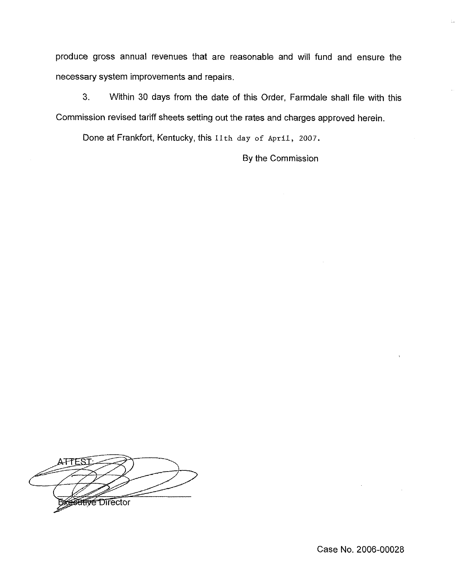produce gross annual revenues that are reasonable and will fund and ensure the necessary system improvements and repairs.

3. Within 30 days from the date of this Order, Farmdale shall file with this Commission revised tariff sheets setting out the rates and charges approved herein.

Done at Frankfort, Kentucky, this 11th day of April, 2007.

By the Commission

ATTESI **Affre Director** 

Case No. 2006-00028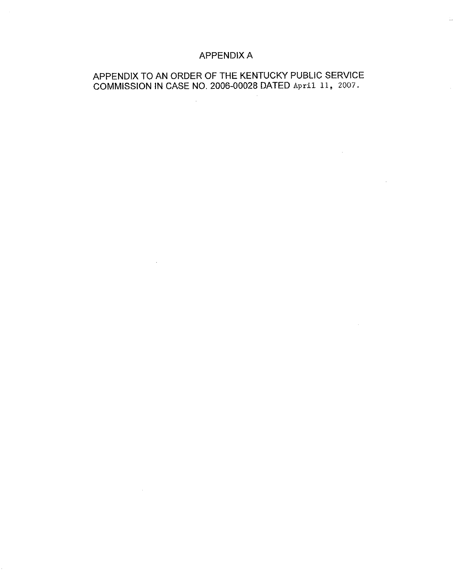# APPENDIX A

# APPENDIX TO AN ORDER OF THE KENTUCKY PUBLIC SERVICE COMMISSION IN CASE NO. 2006-00028 DATED April 11, 2007.

 $\sim 10^{11}$ 

 $\sim 10^{-11}$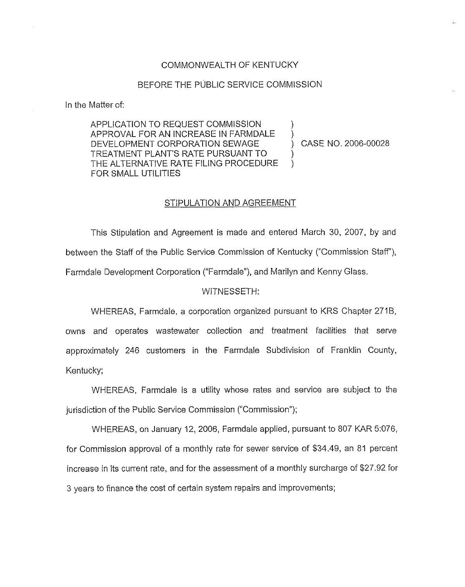# COMMONWEALTH OF KENTUCKY

#### BEFORE THE PUBLIC SERVICE COMMISSION

In the Matter of:

APPLICATION TO REQUEST COMMISSION APPROVAL FOR AN INCREASE IN FARMDALE DEVELOPMENT CORPORATION SEWAGE TREATMENT PLANT'S RATE PURSUANT TO THE ALTERNATIVE RATE FILING PROCEDURE FOR SMALL UTILITIES

) CASE NO. 2006-00028

) )

) )

#### STIPULATION AND AGREEMENT

This Stipulation and Agreement is made and entered March 30, 2007, by and between the Staff of the Public Service Commission of Kentucky ("Commission Staff"). Farmdale Development Corporation ("Farmdale"), and Marilyn and Kenny Glass.

#### WITNESSETH:

WHEREAS, Farmdale, a corporation organized pursuant to KRS Chapter 271B, owns and operates wastewater collection and treatment facilities that serve approximately 246 customers in the Farmdale Subdivision of Franklin County, Kentucky;

WHEREAS, Farmdale is a utility whose rates and service are subject to the jurisdiction of the Public Service Commission ("Commission");

WHEREAS, on January 12, 2006, Farmdale applied, pursuant to 807 KAR 5:076, for Commission approval of a monthly rate for sewer service of \$34,49, an 81 percent increase in its current rate, and for the assessment of a monthly surcharge of \$27.92 for 3 years to finance the cost of certain system repairs and improvements;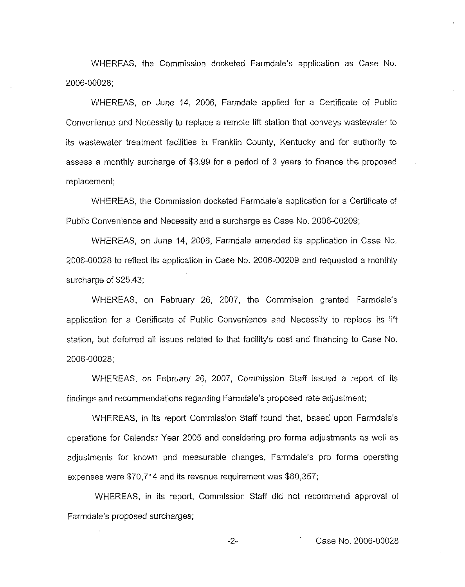WHEREAS, the Commission docketed Farmdale's application as Case No. 2006-00028;

WHEREAS, on June 14, 2006, Farmdale applied for a Certificate of Public Convenience and Necessity to replace a remote lift station that conveys wastewater to its wastewater treatment facilities in Franklin County, Kentucky and for authority to assess a monthly surcharge of \$3.99 for a period of 3 years to finance the proposed replacement;

WHEREAS, the Commission docketed Farmdale's application for a Certificate of Public Convenience and Necessity and a surcharge as Case No. 2006-00209;

WHEREAS, on June 14, 2006, Farrndale amended its application in Case No. 2006-DDD28 to reflect its application in Case No. 2006-00209 and requested a monthly surcharge of \$25,43;

WHEREAS, on February 26, 2007, the Commission granted Farmdale's application for a Certificate of Public Convenience and Necessity to replace its lift station, but deferred all issues related to that facility's cost and financing to Case No. 2006-D0028;

WHEREAS, on February 26, 2007, Commission Staff issued a report of its findings and recommendations regarding Farmdale's proposed rate adjustment;

WHEREAS, in its report Commission Staff found that, based upon Farmdale's operations for Calendar Year 2005 and considering pro forma adjustments as well as adjustments for known and measurable changes, Farmdale's pro forma operating expenses were \$70,714 and its revenue requirement was \$80,357;

WHEREAS, in its report, Commission Staff did not recommend approval of Farmdale's proposed surcharges;

-2- Case No. 2006-00028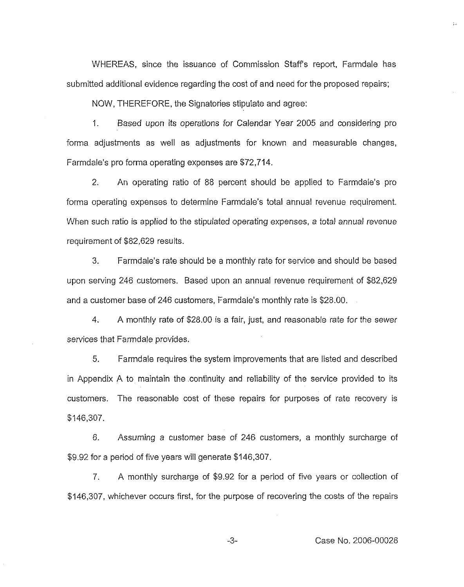WHEREAS, since the issuance of Commission Staff's report, Farmdale has submitted additional evidence regarding the cost of and need for the proposed repairs;

NOW, THEREFORE, the Signatories stipulate and agree

1. Based upon its operations for Calendar Year 2005 and considering pro forma adjustments as well as adjustments for known and measurable changes, Farmdale's pro forma operating expenses are \$72,714.

2. An operating ratio of 88 percent should be applied to Farmdale's pro forma operating expenses to determine Farmdale's total annual revenue requirement. When such ratio is applied to the stipulated operating expenses, a total annual revenue requirement of \$82,629 results.

3. Farmdale's rate should be a monthly rate for service and should be based upon serving 246 customers. Based upon an annual revenue requirement of \$82,629 and a customer base of 246 customers, Farmdale's monthly rate is \$28.00.

4. A monthly rate of \$28.00 is a fair, just, and reasonable rate for the sewer services that Farmdale provides.

5. Farmdale requires the system improvements that are listed and described in Appendix A to maintain the continuity and reliability of the service provided to its customers. The reasonable cost of these repairs for purposes of rate recovery is \$146,307.

6. Assuming a customer base of 246 customers, a monthly surcharge of \$9.92 for a period of five years will generate \$146,307.

7. <sup>A</sup> monthly surcharge of \$9.92 for a period of five years or collection of \$146,307, whichever occurs first, for the purpose of recovering the costs of the repairs

-3- Case No. 2006-00028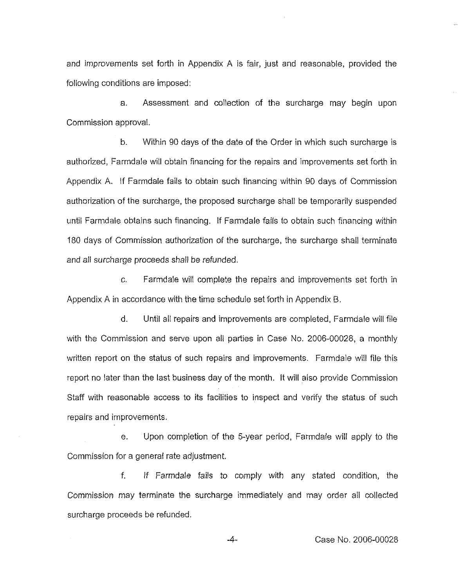and improvements set forth in Appendix A is fair, just and reasonable, provided the following conditions are imposed:

a. Assessment and collection of the surcharge may begin upon Commission approval.

b. Within 90 days of the date of the Order in which such surcharge is authorized, Farmdale will obtain financing for the repairs and improvements set forth in Appendix A. It Farmdale fails to obtain such financing within 90 days of Commission authorization of the surcharge, the proposed surcharge shall be temporarily suspended until Farmdale obtains such financing. if Farmdale fails to obtain such financing within 180 days of Commission authorization of the surcharge, the surcharge shall terminate and all surcharge proceeds shall be refunded.

c. Farmdale will complete the repairs and improvements set forth in Appendix A in accordance with the time schedule set forth in Appendix B.

d. Until all repairs and improvements are completed, Farmdale will file with the Commission and serve upon all parties in Case No, 2006-00028, a monthly written report on the status of such repairs and improvements. Farmdale will file this report no later than the last business day of the month, It will also provide Commission Staff with reasonable access to its facilities to inspect and verify the status of such repairs and improvements.

e. Upon completion of the 5-year period, Farmdale will apply to the Commission for a general rate adjustment.

f. If Farmdale fails to comply with any stated condition, the Commission may terminate the surcharge immediately and may order all collected surcharge proceeds be refunded.

 $-4-$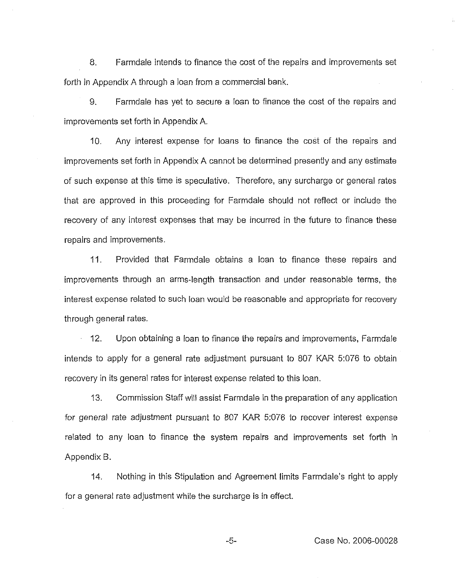8. Farmdale intends to finance the cost of the repairs and improvements set forth in Appendix A through a loan from a commercial bank.

9. Farmdale has yet to secure a loan to finance the cost of the repairs and improvements set forth in Appendix A.

10. Any interest expense for loans to finance the cost of the repairs and improvements set forth in Appendix A cannot be determined presently and any estimate of such expense at this time is speculative. Therefore, any surcharge or general rates that are approved in this proceeding for Farmdale should not reflect or include the recovery of any interest expenses that may be incurred in the future to finance these repairs and improvements.

11. Provided that Farmdale obtains a loan to finance these repairs and improvements through an arms-length transaction and under reasonable terms, the interest expense related to such loan would be reasonable and appropriate for recovery through general rates.

 $\hat{r}$ 12. Upon obtaining a loan to finance the repairs and improvements, Farmdale intends to apply for a general rate adjustment pursuant to 807 KAR 5:076 to obtain recovery in its general rates for interest expense related to this loan.

13. Commission Staff will assist Farmdale in the preparation of any application for general rate adjustment pursuant to 80? KAR 5:076 to recover interest expense related to any loan to finance the system repairs and improvements set forth in Appendix B.

14. Nothing in this Stipulation and Agreement limits Farmdale's right to apply for a general rate adjustment while the surcharge is in effect.

-5- Case No. 2006-00028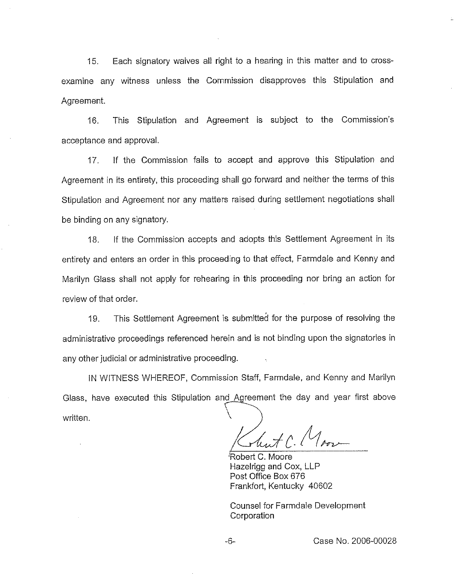15. Each signatory waives aII right to a hearing in this matter and to crossexamine any witness unless the Commission disapproves this Stipulation and Agreement.

16. This Stipulation and Agreement is subject to the Commission's acceptance and approval,

17. If the Commission fails to accept and approve this Stipulation and Agreement in its entirety, this proceeding shall go forward and neither the terms of this Stipulation and Agreement nor any matters raised during settlement negotiations shall be binding on any signatory.

18. If the Commission accepts and adopts this Settlement Agreement in its entirety and enters an order in this proceeding to that effect, Farmdale and Kenny and Marilyn Glass shall not apply for rehearing in this proceeding nor bring an action for review of that order.

19. This Settlement Agreement is submitted for the purpose of resolving the administrative proceedings referenced herein and is not binding upon the signatories in any other judicial or administrative proceeding.

IN WITNESS WHEREOF, Commission Staff, Farmdale, and Kenny and Marilyn Glass, have executed this Stipulation and Agreement the day and year first above written.

Robert C. Moore Hazelrigg and Cox, LLP Post Office Box 676 Frankfort, Kentucky 40602

Counsel for Farmdale Development Corporation

Case No. 2006-00028

 $-6-$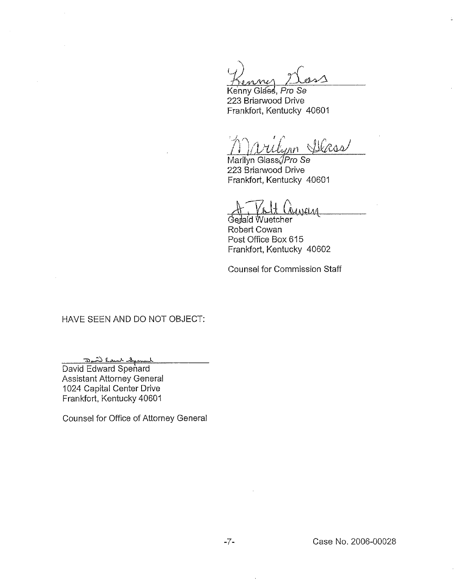$\Lambda \Lambda$ 

Kenny Glass, Pro Se 223 Briarwood Drive Frankfort, Kentucky 40601

I nn Steas

Marilyn Glass/Pro Se 223 Briarwood Drive Frankfort, Kentucky 40601

 $\overline{1}$ 

Gedald Wuetcher Robert Cowan Post Office Box 615 Frankfort, Kentucky 40602

Counsel tor Commission Staff

# HAVE SEEN AND DO NOT OBJECT:

Deal Court Creat

David Edward Spenard Assistant Attorney General 1024 Capital Center Drive Frankfort, Kentucky 40601

Counsel for Office of Attorney General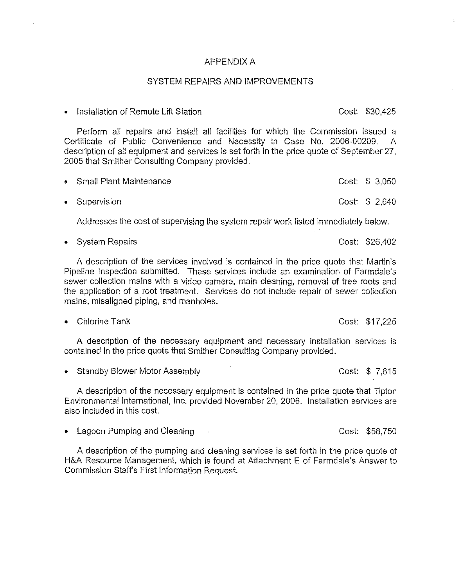### APPENDIX A

## SYSTEM REPAIRS AND IMPROVEMENTS

<sup>~</sup> Installation of Remote Lift Station Cost: \$30,425

Perform all repairs and install all facilities for which the Commission issued a Certificate of Public Convenience and Necessity in Case No. 2006-00209. A description of all equipment and services is set forth in the price quote of September 27,

| • Small Plant Maintenance | Cost: \$ 3,050 |  |
|---------------------------|----------------|--|
| • Supervision             | Cost: \$ 2,640 |  |

Addresses the cost of supervising the system repair work listed immediately below.

• System Repairs **Cost: \$26,402** 

A description of the services involved is contained in the price quote that Martin' Pipeline Inspection submitted. These services include an examination of Farmdale's sewer collection mains with a video camera, main cleaning, removal of tree roots and the application of a root treatment. Services do not include repair of sewer collection mains, misaligned piping, and manholes.

<sup>e</sup> Chlorine Tank Cost: \$17,225

A description of the necessary equipment and necessary installation services is contained in the price quote that Smither Consulting Company provided.

<sup>e</sup> Standby Blower Motor Assembly Cost: \$ 7,815

2005 that Smither Consulting Company provided.

A description of the necessary equipment is contained in the price quote that Tipton Environmental International, Inc, provided November 20, 2006. Installation services are also included in this cost.

• Lagoon Pumping and Cleaning Cost: \$58,750

A description of the pumping and cleaning services is set forth in the price quote of H&A Resource Management, which is found at Attachment E of Farmdale's Answer to Commission Staff's First information Request.